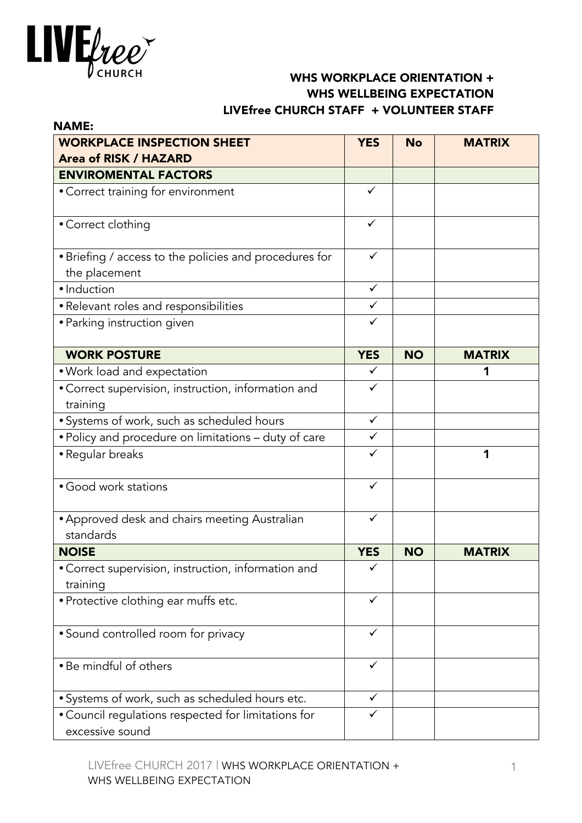

## WHS WORKPLACE ORIENTATION + WHS WELLBEING EXPECTATION LIVEfree CHURCH STAFF + VOLUNTEER STAFF

| <b>NAME:</b>                                                           |              |           |               |
|------------------------------------------------------------------------|--------------|-----------|---------------|
| <b>WORKPLACE INSPECTION SHEET</b>                                      | <b>YES</b>   | <b>No</b> | <b>MATRIX</b> |
| <b>Area of RISK / HAZARD</b>                                           |              |           |               |
| <b>ENVIROMENTAL FACTORS</b>                                            |              |           |               |
| • Correct training for environment                                     | $\checkmark$ |           |               |
| • Correct clothing                                                     | $\checkmark$ |           |               |
| • Briefing / access to the policies and procedures for                 | $\checkmark$ |           |               |
| the placement<br>· Induction                                           | $\checkmark$ |           |               |
|                                                                        | $\checkmark$ |           |               |
| • Relevant roles and responsibilities                                  |              |           |               |
| • Parking instruction given                                            | ✓            |           |               |
| <b>WORK POSTURE</b>                                                    | <b>YES</b>   | <b>NO</b> | <b>MATRIX</b> |
| • Work load and expectation                                            | ✓            |           | 1             |
| • Correct supervision, instruction, information and                    | $\checkmark$ |           |               |
| training                                                               |              |           |               |
| • Systems of work, such as scheduled hours                             | $\checkmark$ |           |               |
| . Policy and procedure on limitations - duty of care                   | ✓            |           |               |
| • Regular breaks                                                       |              |           | 1             |
| • Good work stations                                                   | $\checkmark$ |           |               |
| • Approved desk and chairs meeting Australian                          | ✓            |           |               |
| standards                                                              |              |           |               |
| <b>NOISE</b>                                                           | <b>YES</b>   | <b>NO</b> | <b>MATRIX</b> |
| • Correct supervision, instruction, information and                    | ✓            |           |               |
| training                                                               |              |           |               |
| • Protective clothing ear muffs etc.                                   |              |           |               |
| • Sound controlled room for privacy                                    | ✓            |           |               |
| • Be mindful of others                                                 | ✓            |           |               |
| • Systems of work, such as scheduled hours etc.                        | ✓            |           |               |
| • Council regulations respected for limitations for<br>excessive sound | ✓            |           |               |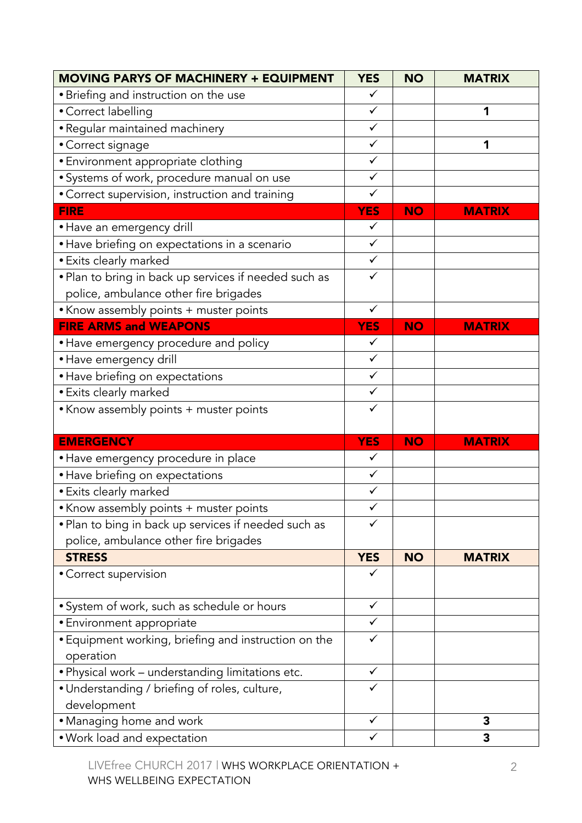| <b>MOVING PARYS OF MACHINERY + EQUIPMENT</b>          | <b>YES</b>   | <b>NO</b> | <b>MATRIX</b> |
|-------------------------------------------------------|--------------|-----------|---------------|
| • Briefing and instruction on the use                 | ✓            |           |               |
| • Correct labelling                                   | $\checkmark$ |           | 1             |
| · Regular maintained machinery                        | $\checkmark$ |           |               |
| • Correct signage                                     | $\checkmark$ |           | 1             |
| · Environment appropriate clothing                    | $\checkmark$ |           |               |
| · Systems of work, procedure manual on use            | $\checkmark$ |           |               |
| • Correct supervision, instruction and training       | $\checkmark$ |           |               |
| <b>FIRE</b>                                           | <b>YES</b>   | <b>NO</b> | <b>MATRIX</b> |
| • Have an emergency drill                             | $\checkmark$ |           |               |
| • Have briefing on expectations in a scenario         | $\checkmark$ |           |               |
| • Exits clearly marked                                | $\checkmark$ |           |               |
| . Plan to bring in back up services if needed such as | ✓            |           |               |
| police, ambulance other fire brigades                 |              |           |               |
| • Know assembly points + muster points                | $\checkmark$ |           |               |
| <b>FIRE ARMS and WEAPONS</b>                          | <b>YES</b>   | <b>NO</b> | <b>MATRIX</b> |
| • Have emergency procedure and policy                 | $\checkmark$ |           |               |
| · Have emergency drill                                | $\checkmark$ |           |               |
| • Have briefing on expectations                       | $\checkmark$ |           |               |
| • Exits clearly marked                                | $\checkmark$ |           |               |
| • Know assembly points + muster points                | $\checkmark$ |           |               |
|                                                       |              |           |               |
| <b>EMERGENCY</b>                                      | <b>YES</b>   | <b>NO</b> | <b>MATRIX</b> |
| • Have emergency procedure in place                   | $\checkmark$ |           |               |
| • Have briefing on expectations                       | $\checkmark$ |           |               |
| • Exits clearly marked                                | $\checkmark$ |           |               |
| • Know assembly points + muster points                | ✓            |           |               |
| . Plan to bing in back up services if needed such as  | ✓            |           |               |
| police, ambulance other fire brigades                 |              |           |               |
| <b>STRESS</b>                                         | <b>YES</b>   | <b>NO</b> | <b>MATRIX</b> |
| • Correct supervision                                 |              |           |               |
|                                                       |              |           |               |
| • System of work, such as schedule or hours           | $\checkmark$ |           |               |
| · Environment appropriate                             | ✓            |           |               |
| • Equipment working, briefing and instruction on the  | $\checkmark$ |           |               |
| operation                                             |              |           |               |
| . Physical work - understanding limitations etc.      | $\checkmark$ |           |               |
| • Understanding / briefing of roles, culture,         | ✓            |           |               |
| development                                           |              |           |               |
| • Managing home and work                              | $\checkmark$ |           | 3             |
| • Work load and expectation                           | ✓            |           | 3             |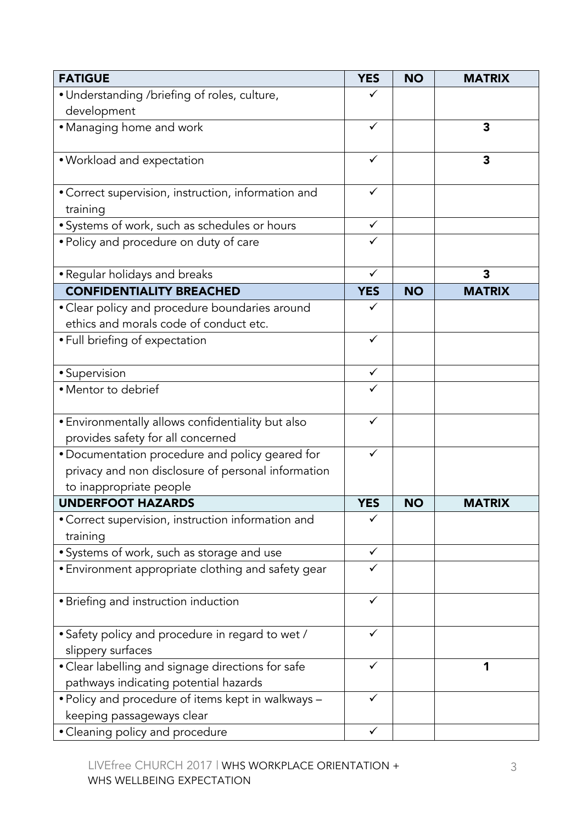| <b>FATIGUE</b>                                                                             | <b>YES</b>   | <b>NO</b> | <b>MATRIX</b>           |
|--------------------------------------------------------------------------------------------|--------------|-----------|-------------------------|
| • Understanding /briefing of roles, culture,                                               |              |           |                         |
| development                                                                                |              |           |                         |
| • Managing home and work                                                                   | $\checkmark$ |           | $\overline{\mathbf{3}}$ |
| · Workload and expectation                                                                 |              |           | 3                       |
| • Correct supervision, instruction, information and                                        | $\checkmark$ |           |                         |
| training                                                                                   |              |           |                         |
| • Systems of work, such as schedules or hours                                              | ✓            |           |                         |
| • Policy and procedure on duty of care                                                     |              |           |                         |
| • Regular holidays and breaks                                                              | $\checkmark$ |           | 3                       |
| <b>CONFIDENTIALITY BREACHED</b>                                                            | <b>YES</b>   | <b>NO</b> | <b>MATRIX</b>           |
| • Clear policy and procedure boundaries around<br>ethics and morals code of conduct etc.   |              |           |                         |
| • Full briefing of expectation                                                             | $\checkmark$ |           |                         |
| • Supervision                                                                              | $\checkmark$ |           |                         |
| • Mentor to debrief                                                                        |              |           |                         |
| • Environmentally allows confidentiality but also                                          | $\checkmark$ |           |                         |
| provides safety for all concerned                                                          |              |           |                         |
| • Documentation procedure and policy geared for                                            | ✓            |           |                         |
| privacy and non disclosure of personal information                                         |              |           |                         |
| to inappropriate people                                                                    |              |           |                         |
| <b>UNDERFOOT HAZARDS</b>                                                                   | <b>YES</b>   | <b>NO</b> | <b>MATRIX</b>           |
| • Correct supervision, instruction information and<br>training                             |              |           |                         |
| • Systems of work, such as storage and use                                                 |              |           |                         |
| • Environment appropriate clothing and safety gear                                         | ✓            |           |                         |
| • Briefing and instruction induction                                                       | ✓            |           |                         |
| • Safety policy and procedure in regard to wet /<br>slippery surfaces                      |              |           |                         |
| • Clear labelling and signage directions for safe<br>pathways indicating potential hazards | ✓            |           | 1                       |
| . Policy and procedure of items kept in walkways -<br>keeping passageways clear            | ✓            |           |                         |
| • Cleaning policy and procedure                                                            | ✓            |           |                         |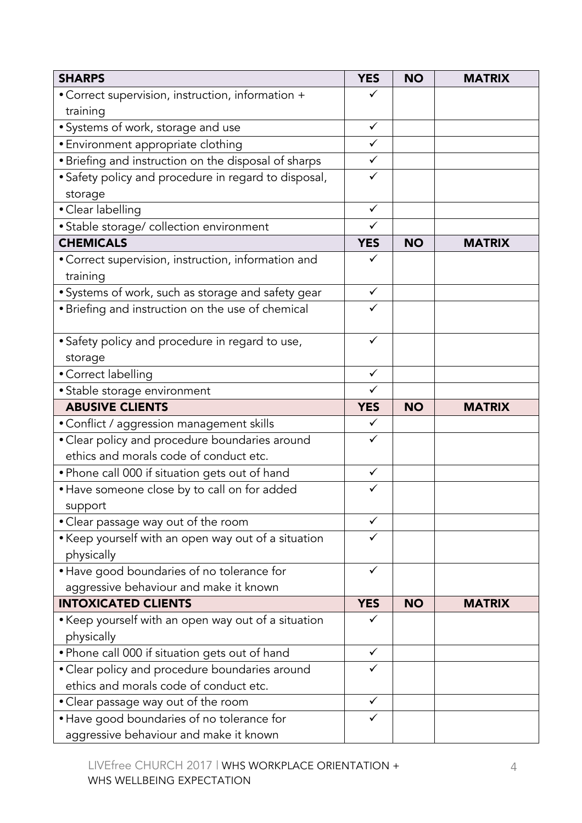| <b>SHARPS</b>                                                     | <b>YES</b>   | <b>NO</b> | <b>MATRIX</b> |
|-------------------------------------------------------------------|--------------|-----------|---------------|
| • Correct supervision, instruction, information +                 | ✓            |           |               |
| training                                                          |              |           |               |
| • Systems of work, storage and use                                | $\checkmark$ |           |               |
| • Environment appropriate clothing                                | $\checkmark$ |           |               |
| • Briefing and instruction on the disposal of sharps              | $\checkmark$ |           |               |
| • Safety policy and procedure in regard to disposal,              | ✓            |           |               |
| storage                                                           |              |           |               |
| • Clear labelling                                                 | $\checkmark$ |           |               |
| • Stable storage/ collection environment                          | $\checkmark$ |           |               |
| <b>CHEMICALS</b>                                                  | <b>YES</b>   | <b>NO</b> | <b>MATRIX</b> |
| • Correct supervision, instruction, information and<br>training   | ✓            |           |               |
| • Systems of work, such as storage and safety gear                | $\checkmark$ |           |               |
| • Briefing and instruction on the use of chemical                 | $\checkmark$ |           |               |
| • Safety policy and procedure in regard to use,<br>storage        | $\checkmark$ |           |               |
| • Correct labelling                                               | $\checkmark$ |           |               |
| • Stable storage environment                                      | $\checkmark$ |           |               |
| <b>ABUSIVE CLIENTS</b>                                            | <b>YES</b>   | <b>NO</b> | <b>MATRIX</b> |
| • Conflict / aggression management skills                         | $\checkmark$ |           |               |
| • Clear policy and procedure boundaries around                    | ✓            |           |               |
| ethics and morals code of conduct etc.                            |              |           |               |
| • Phone call 000 if situation gets out of hand                    | $\checkmark$ |           |               |
| • Have someone close by to call on for added                      | ✓            |           |               |
| support                                                           |              |           |               |
| • Clear passage way out of the room                               |              |           |               |
| • Keep yourself with an open way out of a situation<br>physically | ✓            |           |               |
| • Have good boundaries of no tolerance for                        | ✓            |           |               |
| aggressive behaviour and make it known                            |              |           |               |
| <b>INTOXICATED CLIENTS</b>                                        | <b>YES</b>   | <b>NO</b> | <b>MATRIX</b> |
| • Keep yourself with an open way out of a situation<br>physically | ✓            |           |               |
| • Phone call 000 if situation gets out of hand                    | ✓            |           |               |
| • Clear policy and procedure boundaries around                    | ✓            |           |               |
| ethics and morals code of conduct etc.                            |              |           |               |
| • Clear passage way out of the room                               | $\checkmark$ |           |               |
| • Have good boundaries of no tolerance for                        | ✓            |           |               |
| aggressive behaviour and make it known                            |              |           |               |